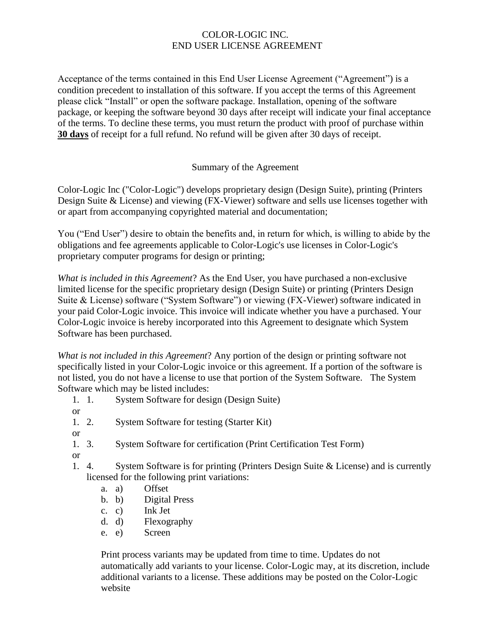### COLOR-LOGIC INC. END USER LICENSE AGREEMENT

Acceptance of the terms contained in this End User License Agreement ("Agreement") is a condition precedent to installation of this software. If you accept the terms of this Agreement please click "Install" or open the software package. Installation, opening of the software package, or keeping the software beyond 30 days after receipt will indicate your final acceptance of the terms. To decline these terms, you must return the product with proof of purchase within **30 days** of receipt for a full refund. No refund will be given after 30 days of receipt.

### Summary of the Agreement

Color-Logic Inc ("Color-Logic") develops proprietary design (Design Suite), printing (Printers Design Suite & License) and viewing (FX-Viewer) software and sells use licenses together with or apart from accompanying copyrighted material and documentation;

You ("End User") desire to obtain the benefits and, in return for which, is willing to abide by the obligations and fee agreements applicable to Color-Logic's use licenses in Color-Logic's proprietary computer programs for design or printing;

*What is included in this Agreement*? As the End User, you have purchased a non-exclusive limited license for the specific proprietary design (Design Suite) or printing (Printers Design Suite & License) software ("System Software") or viewing (FX-Viewer) software indicated in your paid Color-Logic invoice. This invoice will indicate whether you have a purchased. Your Color-Logic invoice is hereby incorporated into this Agreement to designate which System Software has been purchased.

*What is not included in this Agreement*? Any portion of the design or printing software not specifically listed in your Color-Logic invoice or this agreement. If a portion of the software is not listed, you do not have a license to use that portion of the System Software. The System Software which may be listed includes:

- 1. 1. System Software for design (Design Suite)
- or
- 1. 2. System Software for testing (Starter Kit)
- or
- 1. 3. System Software for certification (Print Certification Test Form)
- or
- 1. 4. System Software is for printing (Printers Design Suite & License) and is currently licensed for the following print variations:
	- a. a) Offset
	- b. b) Digital Press
	- c. c) Ink Jet
	- d. d) Flexography
	- e. e) Screen

Print process variants may be updated from time to time. Updates do not automatically add variants to your license. Color-Logic may, at its discretion, include additional variants to a license. These additions may be posted on the Color-Logic website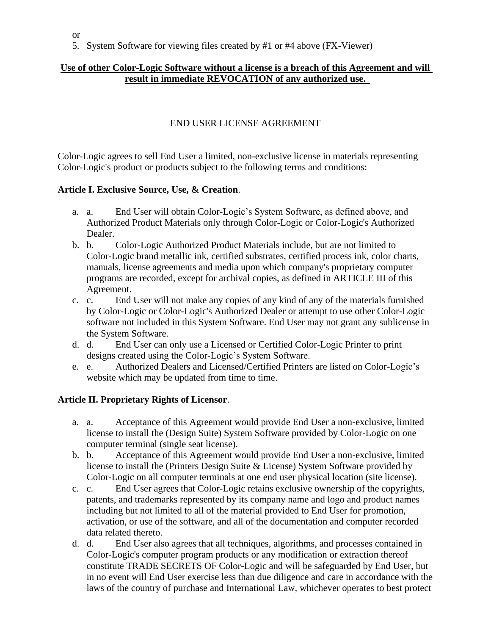5. System Software for viewing files created by #1 or #4 above (FX-Viewer)

### **Use of other Color-Logic Software without a license is a breach of this Agreement and will result in immediate REVOCATION of any authorized use.**

#### END USER LICENSE AGREEMENT

Color-Logic agrees to sell End User a limited, non-exclusive license in materials representing Color-Logic's product or products subject to the following terms and conditions:

#### **Article I. Exclusive Source, Use, & Creation**.

- a. a. End User will obtain Color-Logic's System Software, as defined above, and Authorized Product Materials only through Color-Logic or Color-Logic's Authorized Dealer.
- b. b. Color-Logic Authorized Product Materials include, but are not limited to Color-Logic brand metallic ink, certified substrates, certified process ink, color charts, manuals, license agreements and media upon which company's proprietary computer programs are recorded, except for archival copies, as defined in ARTICLE III of this Agreement.
- c. c. End User will not make any copies of any kind of any of the materials furnished by Color-Logic or Color-Logic's Authorized Dealer or attempt to use other Color-Logic software not included in this System Software. End User may not grant any sublicense in the System Software.
- d. d. End User can only use a Licensed or Certified Color-Logic Printer to print designs created using the Color-Logic's System Software.
- e. e. Authorized Dealers and Licensed/Certified Printers are listed on Color-Logic's website which may be updated from time to time.

#### **Article II. Proprietary Rights of Licensor**.

- a. a. Acceptance of this Agreement would provide End User a non-exclusive, limited license to install the (Design Suite) System Software provided by Color-Logic on one computer terminal (single seat license).
- b. b. Acceptance of this Agreement would provide End User a non-exclusive, limited license to install the (Printers Design Suite & License) System Software provided by Color-Logic on all computer terminals at one end user physical location (site license).
- c. c. End User agrees that Color-Logic retains exclusive ownership of the copyrights, patents, and trademarks represented by its company name and logo and product names including but not limited to all of the material provided to End User for promotion, activation, or use of the software, and all of the documentation and computer recorded data related thereto.
- d. d. End User also agrees that all techniques, algorithms, and processes contained in Color-Logic's computer program products or any modification or extraction thereof constitute TRADE SECRETS OF Color-Logic and will be safeguarded by End User, but in no event will End User exercise less than due diligence and care in accordance with the laws of the country of purchase and International Law, whichever operates to best protect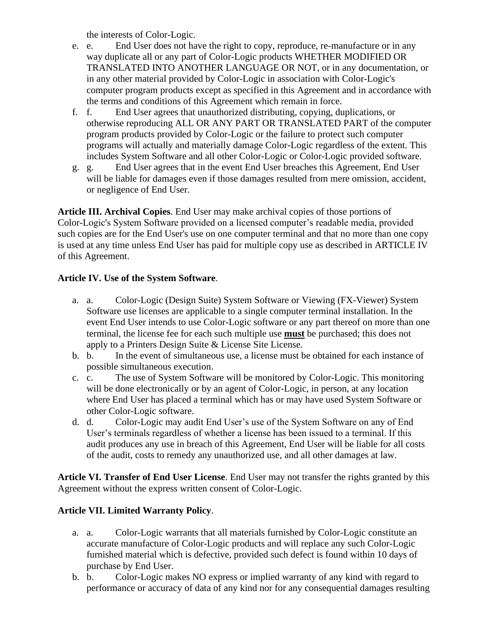the interests of Color-Logic.

- e. e. End User does not have the right to copy, reproduce, re-manufacture or in any way duplicate all or any part of Color-Logic products WHETHER MODIFIED OR TRANSLATED INTO ANOTHER LANGUAGE OR NOT, or in any documentation, or in any other material provided by Color-Logic in association with Color-Logic's computer program products except as specified in this Agreement and in accordance with the terms and conditions of this Agreement which remain in force.
- f. f. End User agrees that unauthorized distributing, copying, duplications, or otherwise reproducing ALL OR ANY PART OR TRANSLATED PART of the computer program products provided by Color-Logic or the failure to protect such computer programs will actually and materially damage Color-Logic regardless of the extent. This includes System Software and all other Color-Logic or Color-Logic provided software.
- g. g. End User agrees that in the event End User breaches this Agreement, End User will be liable for damages even if those damages resulted from mere omission, accident, or negligence of End User.

**Article III. Archival Copies**. End User may make archival copies of those portions of Color-Logic's System Software provided on a licensed computer's readable media, provided such copies are for the End User's use on one computer terminal and that no more than one copy is used at any time unless End User has paid for multiple copy use as described in ARTICLE IV of this Agreement.

## **Article IV. Use of the System Software**.

- a. a. Color-Logic (Design Suite) System Software or Viewing (FX-Viewer) System Software use licenses are applicable to a single computer terminal installation. In the event End User intends to use Color-Logic software or any part thereof on more than one terminal, the license fee for each such multiple use **must** be purchased; this does not apply to a Printers Design Suite & License Site License.
- b. b. In the event of simultaneous use, a license must be obtained for each instance of possible simultaneous execution.
- c. c. The use of System Software will be monitored by Color-Logic. This monitoring will be done electronically or by an agent of Color-Logic, in person, at any location where End User has placed a terminal which has or may have used System Software or other Color-Logic software.
- d. d. Color-Logic may audit End User's use of the System Software on any of End User's terminals regardless of whether a license has been issued to a terminal. If this audit produces any use in breach of this Agreement, End User will be liable for all costs of the audit, costs to remedy any unauthorized use, and all other damages at law.

**Article VI. Transfer of End User License**. End User may not transfer the rights granted by this Agreement without the express written consent of Color-Logic.

## **Article VII. Limited Warranty Policy**.

- a. a. Color-Logic warrants that all materials furnished by Color-Logic constitute an accurate manufacture of Color-Logic products and will replace any such Color-Logic furnished material which is defective, provided such defect is found within 10 days of purchase by End User.
- b. b. Color-Logic makes NO express or implied warranty of any kind with regard to performance or accuracy of data of any kind nor for any consequential damages resulting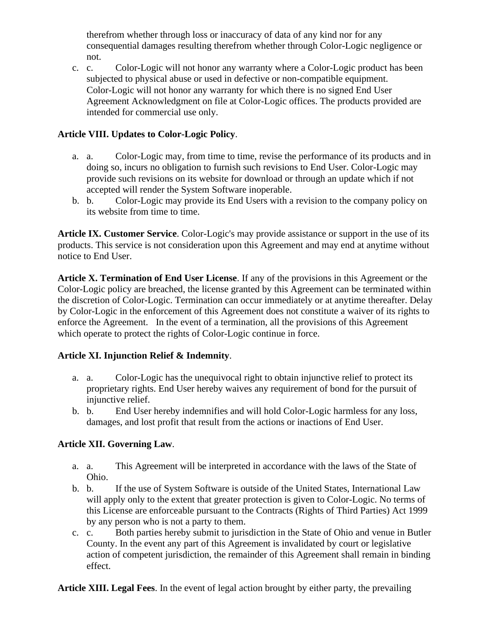therefrom whether through loss or inaccuracy of data of any kind nor for any consequential damages resulting therefrom whether through Color-Logic negligence or not.

c. c. Color-Logic will not honor any warranty where a Color-Logic product has been subjected to physical abuse or used in defective or non-compatible equipment. Color-Logic will not honor any warranty for which there is no signed End User Agreement Acknowledgment on file at Color-Logic offices. The products provided are intended for commercial use only.

# **Article VIII. Updates to Color-Logic Policy**.

- a. a. Color-Logic may, from time to time, revise the performance of its products and in doing so, incurs no obligation to furnish such revisions to End User. Color-Logic may provide such revisions on its website for download or through an update which if not accepted will render the System Software inoperable.
- b. b. Color-Logic may provide its End Users with a revision to the company policy on its website from time to time.

**Article IX. Customer Service**. Color-Logic's may provide assistance or support in the use of its products. This service is not consideration upon this Agreement and may end at anytime without notice to End User.

**Article X. Termination of End User License**. If any of the provisions in this Agreement or the Color-Logic policy are breached, the license granted by this Agreement can be terminated within the discretion of Color-Logic. Termination can occur immediately or at anytime thereafter. Delay by Color-Logic in the enforcement of this Agreement does not constitute a waiver of its rights to enforce the Agreement. In the event of a termination, all the provisions of this Agreement which operate to protect the rights of Color-Logic continue in force.

## **Article XI. Injunction Relief & Indemnity**.

- a. a. Color-Logic has the unequivocal right to obtain injunctive relief to protect its proprietary rights. End User hereby waives any requirement of bond for the pursuit of injunctive relief.
- b. b. End User hereby indemnifies and will hold Color-Logic harmless for any loss, damages, and lost profit that result from the actions or inactions of End User.

## **Article XII. Governing Law**.

- a. a. This Agreement will be interpreted in accordance with the laws of the State of Ohio.
- b. b. If the use of System Software is outside of the United States, International Law will apply only to the extent that greater protection is given to Color-Logic. No terms of this License are enforceable pursuant to the Contracts (Rights of Third Parties) Act 1999 by any person who is not a party to them.
- c. c. Both parties hereby submit to jurisdiction in the State of Ohio and venue in Butler County. In the event any part of this Agreement is invalidated by court or legislative action of competent jurisdiction, the remainder of this Agreement shall remain in binding effect.

**Article XIII. Legal Fees**. In the event of legal action brought by either party, the prevailing